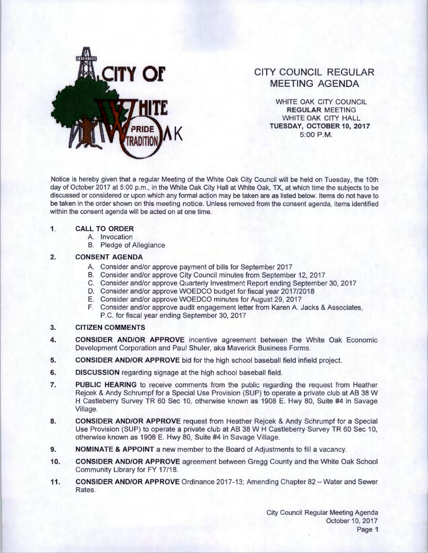

# **CITY COUNCIL REGULAR MEETING AGENDA**

WHITE OAK CITY COUNCIL **REGULAR** MEETING WHITE OAK CITY HALL **K TUESDAY, OCTOBER10,2017**  5:00 P.M.

Notice is hereby given that a regular Meeting of the White Oak City Council will be held on Tuesday, the 1Oth day of October 2017 at 5:00 p.m., in the White Oak City Hall at White Oak, TX, at which time the subjects to be discussed or considered or upon which any formal action may be taken are as listed below. Items do not have to be taken in the order shown on this meeting notice. Unless removed from the consent agenda, items identified within the consent agenda will be acted on at one time.

#### **1. CALL TO ORDER**

- A. Invocation
- B. Pledge of Allegiance

### **2. CONSENT AGENDA**

- A. Consider and/or approve payment of bills for September 2017
- B. Consider and/or approve City Council minutes from September 12, 2017
- C. Consider and/or approve Quarterly Investment Report ending September 30, 2017
- D. Consider and/or approve WOEDCO budget for fiscal year 2017/2018
- E. Consider and/or approve WOEDCO minutes for August 29, 2017
- F. Consider and/or approve audit engagement letter from Karen A. Jacks & Associates, P.C. for fiscal year ending September 30, 2017

### **3. CITIZEN COMMENTS**

- **4. CONSIDER AND/OR APPROVE** incentive agreement between the White Oak Economic Development Corporation and Paul Shuler, aka Maverick Business Forms.
- **5. CONSIDER AND/OR APPROVE** bid for the high school baseball field infield project.
- **6.** DISCUSSION regarding signage at the high school baseball field.
- **7. PUBLIC HEARING** to receive comments from the public regarding the request from Heather Rejcek & Andy Schrumpf for a Special Use Provision (SUP) to operate a private club at AB 38 W H Castleberry Survey TR 60 Sec 10, otherwise known as 1908 E. Hwy 80, Suite #4 in Savage Village.
- **8. CONSIDER AND/OR APPROVE** request from Heather Rejcek & Andy Schrumpf for a Special Use Provision (SUP) to operate a private club at AB 38 W H Castleberry Survey TR 60 Sec 10, otherwise known as 1908 E. Hwy 80, Suite #4 in Savage Village.
- **9. NOMINATE & APPOINT** a new member to the Board of Adjustments to fill a vacancy.
- **10. CONSIDER AND/OR APPROVE** agreement between Gregg County and the White Oak School Community Library for FY 17/18.
- **11. CONSIDER AND/OR APPROVE** Ordinance 2017-13; Amending Chapter 82- Water and Sewer Rates.